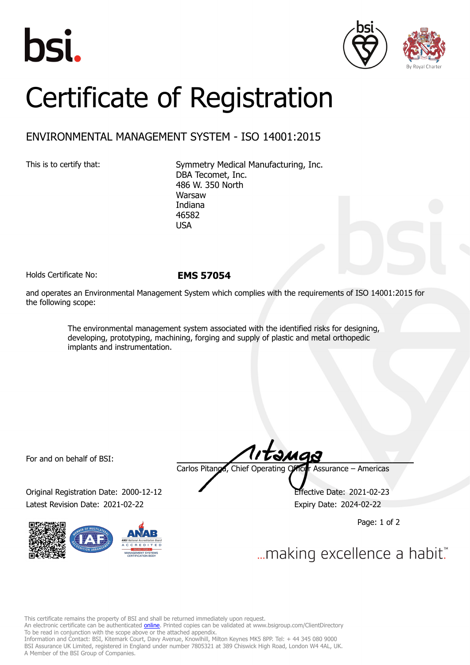





## Certificate of Registration

## ENVIRONMENTAL MANAGEMENT SYSTEM - ISO 14001:2015

This is to certify that: Symmetry Medical Manufacturing, Inc. DBA Tecomet, Inc. 486 W. 350 North Warsaw Indiana 46582 USA

Holds Certificate No: **EMS 57054**

and operates an Environmental Management System which complies with the requirements of ISO 14001:2015 for the following scope:

> The environmental management system associated with the identified risks for designing, developing, prototyping, machining, forging and supply of plastic and metal orthopedic implants and instrumentation.

For and on behalf of BSI:

Original Registration Date: 2000-12-12 Effective Date: 2021-02-23 Latest Revision Date: 2021-02-22 Expiry Date: 2024-02-22



Carlos Pitanga, Chief Operating Officer Assurance – Americas

Page: 1 of 2

... making excellence a habit."

This certificate remains the property of BSI and shall be returned immediately upon request.

An electronic certificate can be authenticated *[online](https://pgplus.bsigroup.com/CertificateValidation/CertificateValidator.aspx?CertificateNumber=EMS+57054&ReIssueDate=22%2f02%2f2021&Template=inc)*. Printed copies can be validated at www.bsigroup.com/ClientDirectory To be read in conjunction with the scope above or the attached appendix.

Information and Contact: BSI, Kitemark Court, Davy Avenue, Knowlhill, Milton Keynes MK5 8PP. Tel: + 44 345 080 9000 BSI Assurance UK Limited, registered in England under number 7805321 at 389 Chiswick High Road, London W4 4AL, UK. A Member of the BSI Group of Companies.